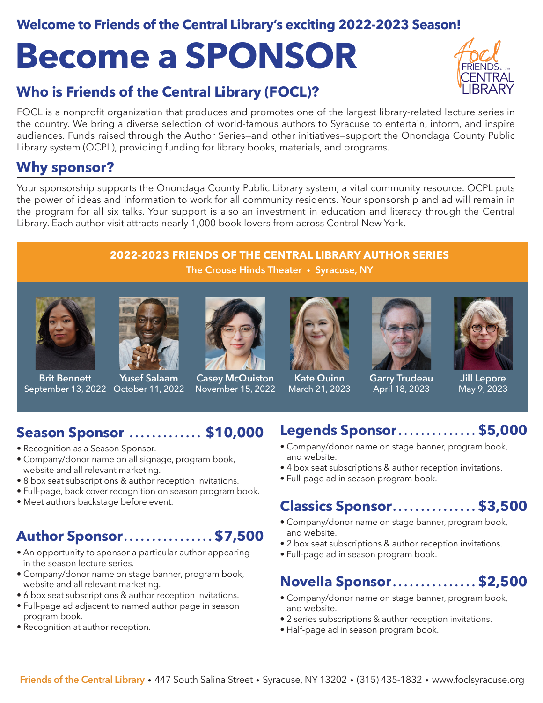#### **Welcome to Friends of the Central Library's exciting 2022-2023 Season!**

# **Become a SPONSOR**

### **Who is Friends of the Central Library (FOCL)?**

FOCL is a nonprofit organization that produces and promotes one of the largest library-related lecture series in the country. We bring a diverse selection of world-famous authors to Syracuse to entertain, inform, and inspire audiences. Funds raised through the Author Series—and other initiatives—support the Onondaga County Public Library system (OCPL), providing funding for library books, materials, and programs.

#### **Why sponsor?**

Your sponsorship supports the Onondaga County Public Library system, a vital community resource. OCPL puts the power of ideas and information to work for all community residents. Your sponsorship and ad will remain in the program for all six talks. Your support is also an investment in education and literacy through the Central Library. Each author visit attracts nearly 1,000 book lovers from across Central New York.

#### **2022-2023 FRIENDS OF THE CENTRAL LIBRARY AUTHOR SERIES The Crouse Hinds Theater • Syracuse, NY**

**Brit Bennett**



September 13, 2022 October 11, 2022 **Yusef Salaam**



**Casey McQuiston** November 15, 2022



**Kate Quinn** March 21, 2023



**Garry Trudeau** April 18, 2023



**Jill Lepore** May 9, 2023

#### **Season Sponsor . . . . . . . . . . . . . \$10,000**

- Recognition as a Season Sponsor.
- Company/donor name on all signage, program book, website and all relevant marketing.
- 8 box seat subscriptions & author reception invitations.
- Full-page, back cover recognition on season program book.
- Meet authors backstage before event.

#### **Author Sponsor . . . . . . . . . . . . . . . . \$7,500**

- An opportunity to sponsor a particular author appearing in the season lecture series.
- Company/donor name on stage banner, program book, website and all relevant marketing.
- 6 box seat subscriptions & author reception invitations.
- Full-page ad adjacent to named author page in season program book.
- Recognition at author reception.

#### **Legends Sponsor . . . . . . . . . . . . . . \$5,000**

- Company/donor name on stage banner, program book, and website.
- 4 box seat subscriptions & author reception invitations.
- Full-page ad in season program book.

#### **Classics Sponsor . . . . . . . . . . . . . . . \$3,500**

- Company/donor name on stage banner, program book, and website.
- 2 box seat subscriptions & author reception invitations.
- Full-page ad in season program book.

#### **Novella Sponsor . . . . . . . . . . . . . . . \$2,500**

- Company/donor name on stage banner, program book, and website.
- 2 series subscriptions & author reception invitations.
- Half-page ad in season program book.